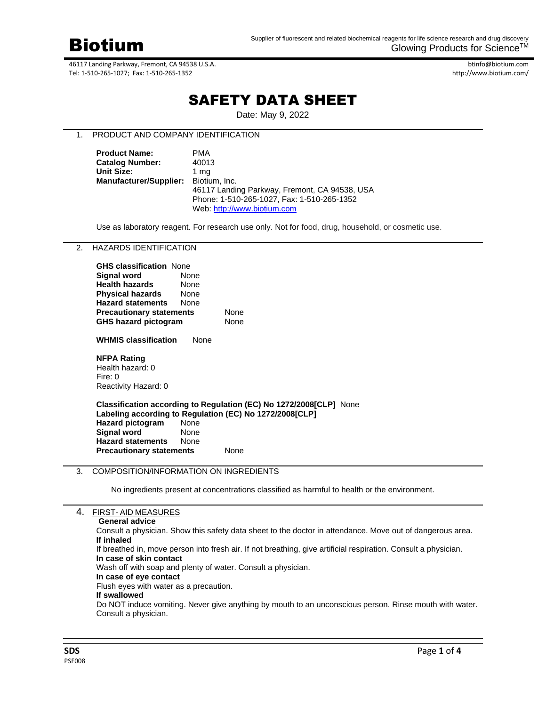

btinfo@biotium.com http://www.biotium.com/

# SAFETY DATA SHEET

Date: May 9, 2022

# 1. PRODUCT AND COMPANY IDENTIFICATION

| <b>Product Name:</b>                 | PMA                                           |
|--------------------------------------|-----------------------------------------------|
| <b>Catalog Number:</b>               | 40013                                         |
| <b>Unit Size:</b>                    | 1 ma                                          |
| Manufacturer/Supplier: Biotium, Inc. |                                               |
|                                      | 46117 Landing Parkway, Fremont, CA 94538, USA |
|                                      | Phone: 1-510-265-1027, Fax: 1-510-265-1352    |
|                                      | Web: http://www.biotium.com                   |

Use as laboratory reagent. For research use only. Not for food, drug, household, or cosmetic use.

# 2. HAZARDS IDENTIFICATION

| <b>GHS classification None</b>  |      |  |
|---------------------------------|------|--|
| <b>Signal word</b>              | None |  |
| <b>Health hazards</b>           | None |  |
| <b>Physical hazards</b>         | None |  |
| <b>Hazard statements</b>        | None |  |
| <b>Precautionary statements</b> | None |  |
| <b>GHS hazard pictogram</b>     | None |  |
|                                 |      |  |

**WHMIS classification** None

### **NFPA Rating**

Health hazard: 0 Fire: 0 Reactivity Hazard: 0

## **Classification according to Regulation (EC) No 1272/2008[CLP]** None **Labeling according to Regulation (EC) No 1272/2008[CLP] Hazard pictogram** None **Signal word** None **Hazard statements** None **Precautionary statements** None

# 3. COMPOSITION/INFORMATION ON INGREDIENTS

No ingredients present at concentrations classified as harmful to health or the environment.

| 4. | <b>FIRST-AID MEASURES</b>                                                                                       |
|----|-----------------------------------------------------------------------------------------------------------------|
|    | <b>General advice</b>                                                                                           |
|    | Consult a physician. Show this safety data sheet to the doctor in attendance. Move out of dangerous area.       |
|    | If inhaled                                                                                                      |
|    | If breathed in, move person into fresh air. If not breathing, give artificial respiration. Consult a physician. |
|    | In case of skin contact                                                                                         |
|    | Wash off with soap and plenty of water. Consult a physician.                                                    |
|    | In case of eye contact                                                                                          |
|    | Flush eyes with water as a precaution.                                                                          |
|    | If swallowed                                                                                                    |
|    | Do NOT induce vomiting. Never give anything by mouth to an unconscious person. Rinse mouth with water.          |
|    | Consult a physician.                                                                                            |
|    |                                                                                                                 |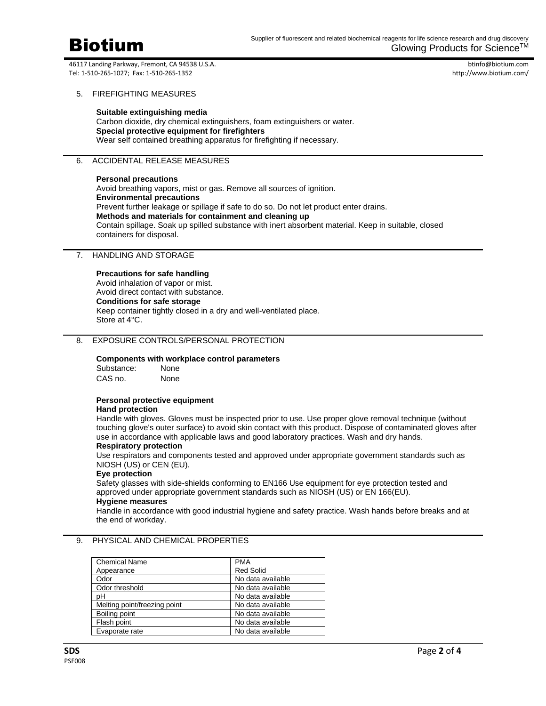

btinfo@biotium.com http://www.biotium.com/

## 5. FIREFIGHTING MEASURES

**Suitable extinguishing media** Carbon dioxide, dry chemical extinguishers, foam extinguishers or water. **Special protective equipment for firefighters** Wear self contained breathing apparatus for firefighting if necessary.

# 6. ACCIDENTAL RELEASE MEASURES

### **Personal precautions**

Avoid breathing vapors, mist or gas. Remove all sources of ignition. **Environmental precautions** Prevent further leakage or spillage if safe to do so. Do not let product enter drains. **Methods and materials for containment and cleaning up** Contain spillage. Soak up spilled substance with inert absorbent material. Keep in suitable, closed containers for disposal.

# 7. HANDLING AND STORAGE

### **Precautions for safe handling**

Avoid inhalation of vapor or mist. Avoid direct contact with substance. **Conditions for safe storage** Keep container tightly closed in a dry and well-ventilated place. Store at 4°C.

# 8. EXPOSURE CONTROLS/PERSONAL PROTECTION

### **Components with workplace control parameters**

Substance: None CAS no. None

# **Personal protective equipment**

### **Hand protection**

Handle with gloves. Gloves must be inspected prior to use. Use proper glove removal technique (without touching glove's outer surface) to avoid skin contact with this product. Dispose of contaminated gloves after use in accordance with applicable laws and good laboratory practices. Wash and dry hands.

## **Respiratory protection**

Use respirators and components tested and approved under appropriate government standards such as NIOSH (US) or CEN (EU).

# **Eye protection**

Safety glasses with side-shields conforming to EN166 Use equipment for eye protection tested and approved under appropriate government standards such as NIOSH (US) or EN 166(EU). **Hygiene measures**

# Handle in accordance with good industrial hygiene and safety practice. Wash hands before breaks and at the end of workday.

# 9. PHYSICAL AND CHEMICAL PROPERTIES

| <b>Chemical Name</b>         | <b>PMA</b>        |
|------------------------------|-------------------|
| Appearance                   | <b>Red Solid</b>  |
| Odor                         | No data available |
| Odor threshold               | No data available |
| рH                           | No data available |
| Melting point/freezing point | No data available |
| Boiling point                | No data available |
| Flash point                  | No data available |
| Evaporate rate               | No data available |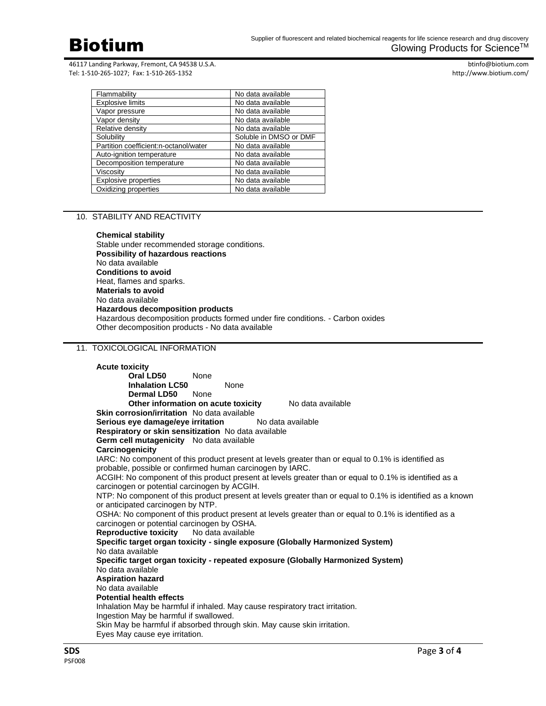

btinfo@biotium.com http://www.biotium.com/

| Flammability                          | No data available      |
|---------------------------------------|------------------------|
| <b>Explosive limits</b>               | No data available      |
| Vapor pressure                        | No data available      |
| Vapor density                         | No data available      |
| Relative density                      | No data available      |
| Solubility                            | Soluble in DMSO or DMF |
| Partition coefficient:n-octanol/water | No data available      |
| Auto-ignition temperature             | No data available      |
| Decomposition temperature             | No data available      |
| Viscositv                             | No data available      |
| <b>Explosive properties</b>           | No data available      |
| Oxidizing properties                  | No data available      |

# 10. STABILITY AND REACTIVITY

**Chemical stability** Stable under recommended storage conditions. **Possibility of hazardous reactions** No data available **Conditions to avoid** Heat, flames and sparks. **Materials to avoid** No data available **Hazardous decomposition products** Hazardous decomposition products formed under fire conditions. - Carbon oxides Other decomposition products - No data available

## 11. TOXICOLOGICAL INFORMATION

**Acute toxicity Oral LD50** None **Inhalation LC50** None **Dermal LD50** None **Other information on acute toxicity** No data available **Skin corrosion/irritation** No data available **Serious eye damage/eye irritation** No data available **Respiratory or skin sensitization** No data available **Germ cell mutagenicity** No data available **Carcinogenicity** IARC: No component of this product present at levels greater than or equal to 0.1% is identified as probable, possible or confirmed human carcinogen by IARC. ACGIH: No component of this product present at levels greater than or equal to 0.1% is identified as a carcinogen or potential carcinogen by ACGIH. NTP: No component of this product present at levels greater than or equal to 0.1% is identified as a known or anticipated carcinogen by NTP. OSHA: No component of this product present at levels greater than or equal to 0.1% is identified as a carcinogen or potential carcinogen by OSHA. **Reproductive toxicity** No data available **Specific target organ toxicity - single exposure (Globally Harmonized System)** No data available **Specific target organ toxicity - repeated exposure (Globally Harmonized System)** No data available **Aspiration hazard** No data available **Potential health effects** Inhalation May be harmful if inhaled. May cause respiratory tract irritation. Ingestion May be harmful if swallowed. Skin May be harmful if absorbed through skin. May cause skin irritation. Eyes May cause eye irritation.